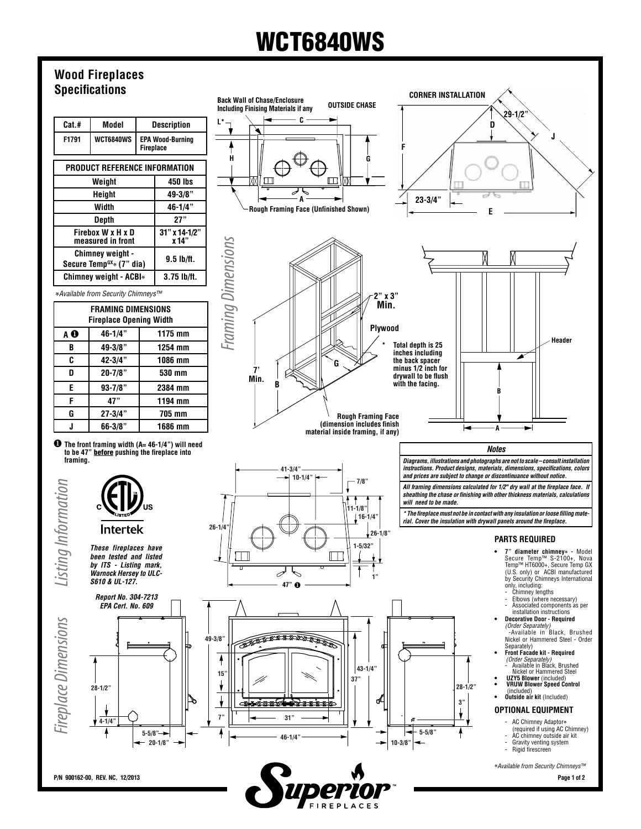# WCT6840WS

### **Wood Fireplaces Specifications**

| Cat.#                                           | Model     |                                             | <b>Description</b>       |  |
|-------------------------------------------------|-----------|---------------------------------------------|--------------------------|--|
| F1791                                           | WCT6840WS | <b>EPA Wood-Burning</b><br><b>Fireplace</b> |                          |  |
| PRODUCT REFERENCE INFORMATION                   |           |                                             |                          |  |
| Weight                                          |           |                                             | 450 lbs                  |  |
| Height                                          |           |                                             | $49 - 3/8"$              |  |
| Width                                           |           |                                             | $46 - 1/4$ "             |  |
| Depth                                           |           |                                             | 27"                      |  |
| Firebox W x H x D<br>measured in front          |           |                                             | $31"$ x 14-1/2"<br>x 14" |  |
| Chimney weight -<br>Secure Temp $G(x)$ (7" dia) |           |                                             | $9.5$ lb/ft.             |  |
| Chimney weight - ACBI*                          |           |                                             | $3.75$ lb/ft.            |  |

**\****Available from Security Chimneys™* 

| <b>FRAMING DIMENSIONS</b><br><b>Fireplace Opening Width</b> |              |         |  |  |
|-------------------------------------------------------------|--------------|---------|--|--|
| AΘ                                                          | 46-1/4"      | 1175 mm |  |  |
| B                                                           | 49-3/8"      | 1254 mm |  |  |
| C                                                           | 42-3/4"      | 1086 mm |  |  |
| n                                                           | $20 - 7/8"$  | 530 mm  |  |  |
| E                                                           | $93 - 7/8$ " | 2384 mm |  |  |
| F                                                           | 47"          | 1194 mm |  |  |
| G                                                           | $27 - 3/4"$  | 705 mm  |  |  |
|                                                             | $66 - 3/8"$  | 1686 mm |  |  |
|                                                             |              |         |  |  |

**1** The front framing width (A= 46-1/4") will need to be 47" <u>before</u> pushing the fireplace into **framing.**



*These fireplaces have been tested and listed by ITS - Listing mark, Warnock Hersey to ULC-S610 & UL-127.*

**26-1/4"**







**REP** 

*Diagrams, illustrations and photographs are not to scale – consult installation instructions. Product designs, materials, dimensions, specifications, colors and prices are subject to change or discontinuance without notice.*

*All framing dimensions calculated for 1/2" dry wall at the fireplace face. If sheathing the chase or finishing with other thickness materials, calculations* 

*\* The fireplace must not be in contact with any insulation or loose filling material. Cover the insulation with drywall panels around the fireplace.*

#### **Parts Required**

**• 7" diameter chimney**<sup>\*</sup> - Model Secure Temp™ S-2100+, Nova Temp™ HT6000+, Secure Temp GX (U.S. only) or ACBI manufactured by Security Chimneys International only, including:

**Header**

**J**

- Chimney lengths Elbows (where necessary) Associated components as per
- installation instructions **• Decorative Door Required**
- *(Order Separately)* --Available in Black, Brushed Nickel or Hammered Steel - Order
- Separately)  **Front Facade kit - Required** *(Order Separately)* Available in Black, Brushed Nickel or Hammered Steel
- **UZY5 Blower** (included)  **VRUW Blower Speed Control** (included) **• Outside air kit** (Included)
- 

#### **OPTIONAL EQUIPMENT**

- - AC Chimney Adaptor**\*** (required if using AC Chimney) AC chimney outside air kit
	- Gravity venting system Rigid firescreen
	-

**\****Available from Security Chimneys™* 

**P/N 900162-00, REV. NC, 12/2013 Page 1 of 2**

*Fireplace Dimensions Listing Information*

**Fireplace Dimensions** 

Listing Information